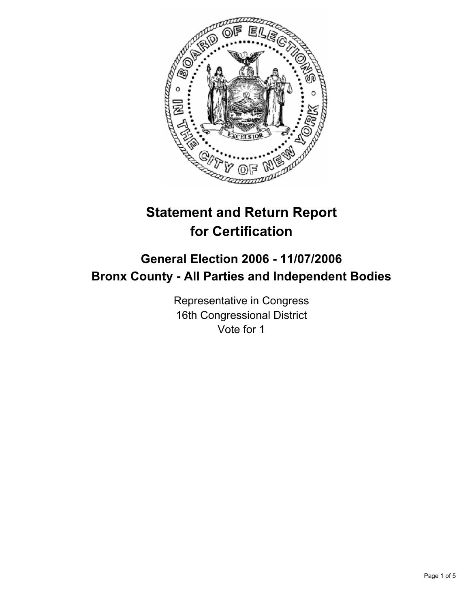

# **Statement and Return Report for Certification**

# **General Election 2006 - 11/07/2006 Bronx County - All Parties and Independent Bodies**

Representative in Congress 16th Congressional District Vote for 1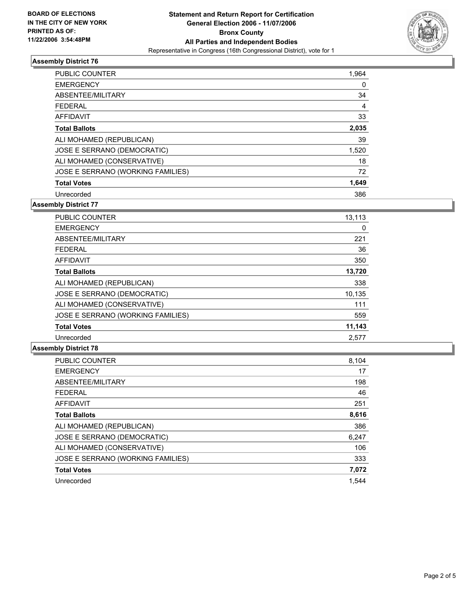

### **Assembly District 76**

| <b>PUBLIC COUNTER</b>             | 1,964 |
|-----------------------------------|-------|
| <b>EMERGENCY</b>                  | 0     |
| ABSENTEE/MILITARY                 | 34    |
| <b>FEDERAL</b>                    | 4     |
| AFFIDAVIT                         | 33    |
| <b>Total Ballots</b>              | 2,035 |
| ALI MOHAMED (REPUBLICAN)          | 39    |
| JOSE E SERRANO (DEMOCRATIC)       | 1,520 |
| ALI MOHAMED (CONSERVATIVE)        | 18    |
| JOSE E SERRANO (WORKING FAMILIES) | 72    |
| <b>Total Votes</b>                | 1,649 |
| Unrecorded                        | 386   |

**Assembly District 77**

| <b>PUBLIC COUNTER</b>             | 13,113 |
|-----------------------------------|--------|
| <b>EMERGENCY</b>                  | 0      |
| ABSENTEE/MILITARY                 | 221    |
| <b>FEDERAL</b>                    | 36     |
| AFFIDAVIT                         | 350    |
| <b>Total Ballots</b>              | 13,720 |
| ALI MOHAMED (REPUBLICAN)          | 338    |
| JOSE E SERRANO (DEMOCRATIC)       | 10,135 |
| ALI MOHAMED (CONSERVATIVE)        | 111    |
| JOSE E SERRANO (WORKING FAMILIES) | 559    |
| <b>Total Votes</b>                | 11,143 |
| Unrecorded                        | 2.577  |

#### **Assembly District 78**

| PUBLIC COUNTER                    | 8,104 |
|-----------------------------------|-------|
| <b>EMERGENCY</b>                  | 17    |
| ABSENTEE/MILITARY                 | 198   |
| <b>FEDERAL</b>                    | 46    |
| <b>AFFIDAVIT</b>                  | 251   |
| <b>Total Ballots</b>              | 8,616 |
| ALI MOHAMED (REPUBLICAN)          | 386   |
| JOSE E SERRANO (DEMOCRATIC)       | 6,247 |
| ALI MOHAMED (CONSERVATIVE)        | 106   |
| JOSE E SERRANO (WORKING FAMILIES) | 333   |
| <b>Total Votes</b>                | 7,072 |
| Unrecorded                        | 1.544 |
|                                   |       |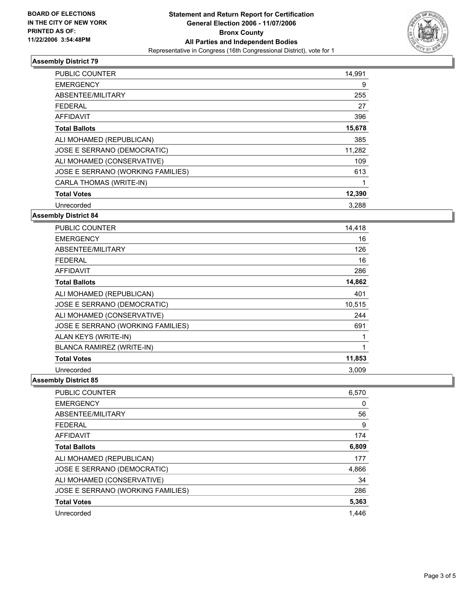

## **Assembly District 79**

| <b>PUBLIC COUNTER</b>             | 14,991 |  |
|-----------------------------------|--------|--|
| <b>EMERGENCY</b>                  | 9      |  |
| ABSENTEE/MILITARY                 | 255    |  |
| <b>FEDERAL</b>                    | 27     |  |
| AFFIDAVIT                         | 396    |  |
| <b>Total Ballots</b>              | 15,678 |  |
| ALI MOHAMED (REPUBLICAN)          | 385    |  |
| JOSE E SERRANO (DEMOCRATIC)       | 11,282 |  |
| ALI MOHAMED (CONSERVATIVE)        | 109    |  |
| JOSE E SERRANO (WORKING FAMILIES) | 613    |  |
| CARLA THOMAS (WRITE-IN)           |        |  |
| <b>Total Votes</b>                | 12,390 |  |
| Unrecorded                        | 3.288  |  |

### **Assembly District 84**

| <b>PUBLIC COUNTER</b>             | 14,418 |
|-----------------------------------|--------|
| <b>EMERGENCY</b>                  | 16     |
| ABSENTEE/MILITARY                 | 126    |
| <b>FEDERAL</b>                    | 16     |
| AFFIDAVIT                         | 286    |
| <b>Total Ballots</b>              | 14,862 |
| ALI MOHAMED (REPUBLICAN)          | 401    |
| JOSE E SERRANO (DEMOCRATIC)       | 10,515 |
| ALI MOHAMED (CONSERVATIVE)        | 244    |
| JOSE E SERRANO (WORKING FAMILIES) | 691    |
| ALAN KEYS (WRITE-IN)              |        |
| <b>BLANCA RAMIREZ (WRITE-IN)</b>  |        |
| <b>Total Votes</b>                | 11,853 |
| Unrecorded                        | 3.009  |

#### **Assembly District 85**

| <b>PUBLIC COUNTER</b>             | 6,570 |
|-----------------------------------|-------|
| <b>EMERGENCY</b>                  | 0     |
| ABSENTEE/MILITARY                 | 56    |
| <b>FEDERAL</b>                    | 9     |
| AFFIDAVIT                         | 174   |
| <b>Total Ballots</b>              | 6,809 |
| ALI MOHAMED (REPUBLICAN)          | 177   |
| JOSE E SERRANO (DEMOCRATIC)       | 4,866 |
| ALI MOHAMED (CONSERVATIVE)        | 34    |
| JOSE E SERRANO (WORKING FAMILIES) | 286   |
| <b>Total Votes</b>                | 5,363 |
| Unrecorded                        | 1.446 |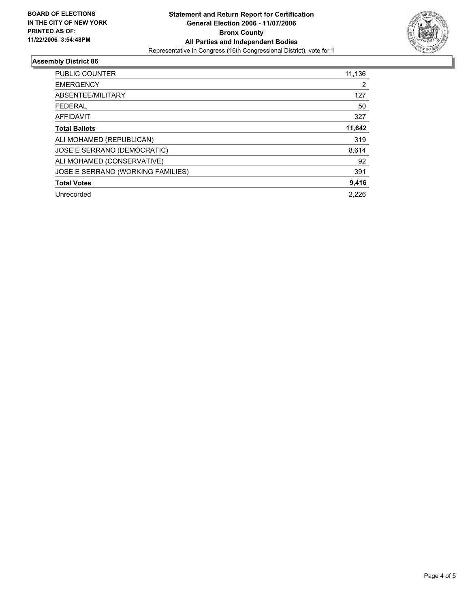

### **Assembly District 86**

| PUBLIC COUNTER                    | 11,136 |
|-----------------------------------|--------|
| <b>EMERGENCY</b>                  | 2      |
| ABSENTEE/MILITARY                 | 127    |
| <b>FEDERAL</b>                    | 50     |
| AFFIDAVIT                         | 327    |
| <b>Total Ballots</b>              | 11,642 |
| ALI MOHAMED (REPUBLICAN)          | 319    |
| JOSE E SERRANO (DEMOCRATIC)       | 8,614  |
| ALI MOHAMED (CONSERVATIVE)        | 92     |
| JOSE E SERRANO (WORKING FAMILIES) | 391    |
| <b>Total Votes</b>                | 9,416  |
| Unrecorded                        | 2.226  |